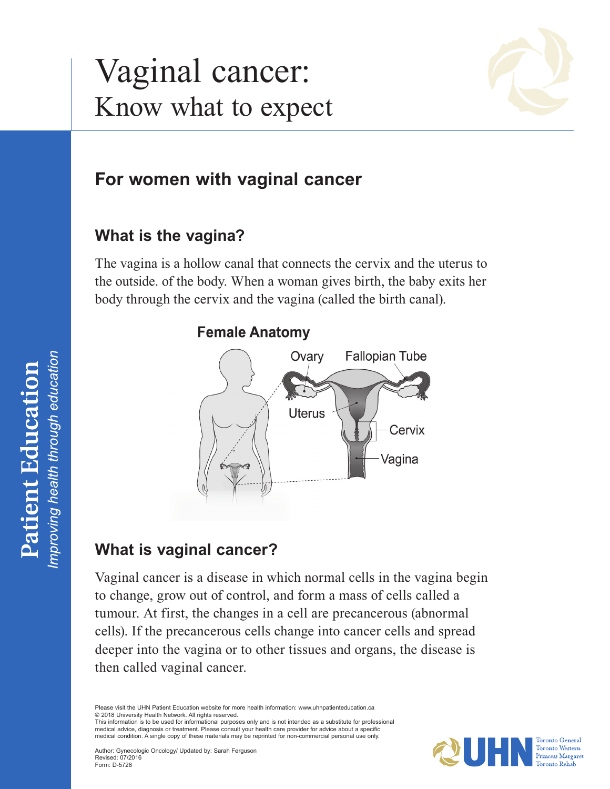# Vaginal cancer: Know what to expect



# **For women with vaginal cancer**

## **What is the vagina?**

The vagina is a hollow canal that connects the cervix and the uterus to the outside. of the body. When a woman gives birth, the baby exits her body through the cervix and the vagina (called the birth canal).

#### **Female Anatomy**



## **What is vaginal cancer?**

Vaginal cancer is a disease in which normal cells in the vagina begin to change, grow out of control, and form a mass of cells called a tumour. At first, the changes in a cell are precancerous (abnormal cells). If the precancerous cells change into cancer cells and spread deeper into the vagina or to other tissues and organs, the disease is then called vaginal cancer.

Please visit the UHN Patient Education website for more health information: <www.uhnpatienteducation.ca> © 2018 University Health Network. All rights reserved. This information is to be used for informational purposes only and is not intended as a substitute for professional

medical advice, diagnosis or treatment. Please consult your health care provider for advice about a specific medical condition. A single copy of these materials may be reprinted for non-commercial personal use only.

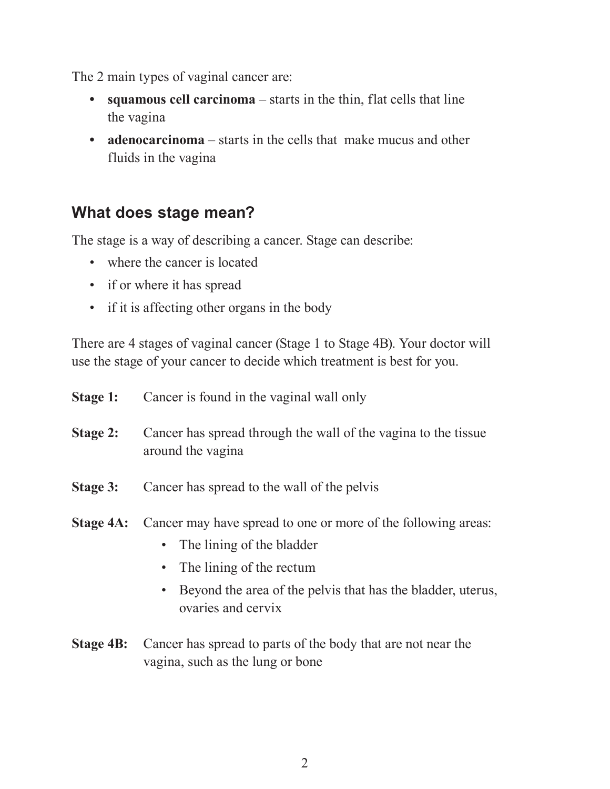The 2 main types of vaginal cancer are:

- **• squamous cell carcinoma** starts in the thin, flat cells that line the vagina
- **• adenocarcinoma** starts in the cells that make mucus and other fluids in the vagina

## **What does stage mean?**

The stage is a way of describing a cancer. Stage can describe:

- where the cancer is located
- if or where it has spread
- if it is affecting other organs in the body

There are 4 stages of vaginal cancer (Stage 1 to Stage 4B). Your doctor will use the stage of your cancer to decide which treatment is best for you.

| Stage 1:        | Cancer is found in the vaginal wall only                                                                                                                                                                                                |
|-----------------|-----------------------------------------------------------------------------------------------------------------------------------------------------------------------------------------------------------------------------------------|
| <b>Stage 2:</b> | Cancer has spread through the wall of the vagina to the tissue<br>around the vagina                                                                                                                                                     |
| Stage 3:        | Cancer has spread to the wall of the pelvis                                                                                                                                                                                             |
| Stage 4A:       | Cancer may have spread to one or more of the following areas:<br>• The lining of the bladder<br>The lining of the rectum<br>$\bullet$<br>Beyond the area of the pelvis that has the bladder, uterus,<br>$\bullet$<br>ovaries and cervix |

**Stage 4B:** Cancer has spread to parts of the body that are not near the vagina, such as the lung or bone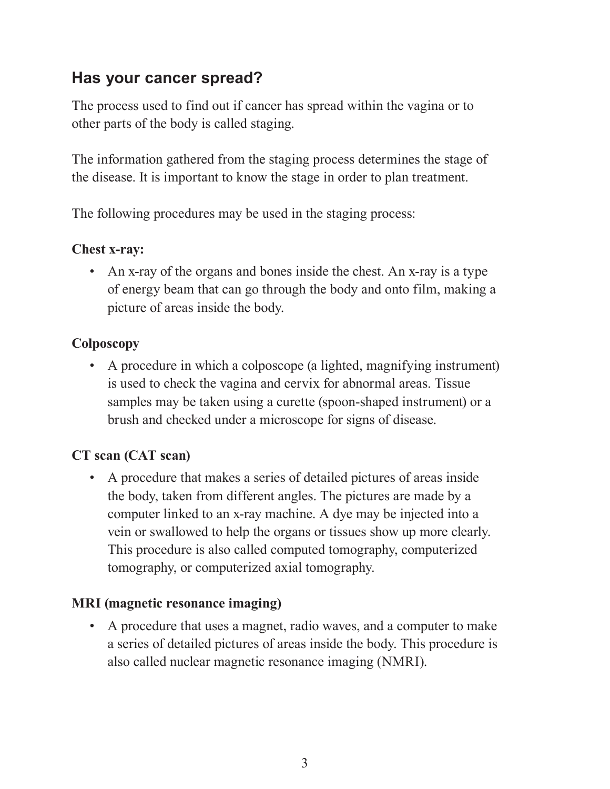# **Has your cancer spread?**

The process used to find out if cancer has spread within the vagina or to other parts of the body is called staging.

The information gathered from the staging process determines the stage of the disease. It is important to know the stage in order to plan treatment.

The following procedures may be used in the staging process:

#### **Chest x-ray:**

• An x-ray of the organs and bones inside the chest. An x-ray is a type of energy beam that can go through the body and onto film, making a picture of areas inside the body.

#### **Colposcopy**

• A procedure in which a colposcope (a lighted, magnifying instrument) is used to check the vagina and cervix for abnormal areas. Tissue samples may be taken using a curette (spoon-shaped instrument) or a brush and checked under a microscope for signs of disease.

#### **CT scan (CAT scan)**

• A procedure that makes a series of detailed pictures of areas inside the body, taken from different angles. The pictures are made by a computer linked to an x-ray machine. A dye may be injected into a vein or swallowed to help the organs or tissues show up more clearly. This procedure is also called computed tomography, computerized tomography, or computerized axial tomography.

#### **MRI (magnetic resonance imaging)**

• A procedure that uses a magnet, radio waves, and a computer to make a series of detailed pictures of areas inside the body. This procedure is also called nuclear magnetic resonance imaging (NMRI).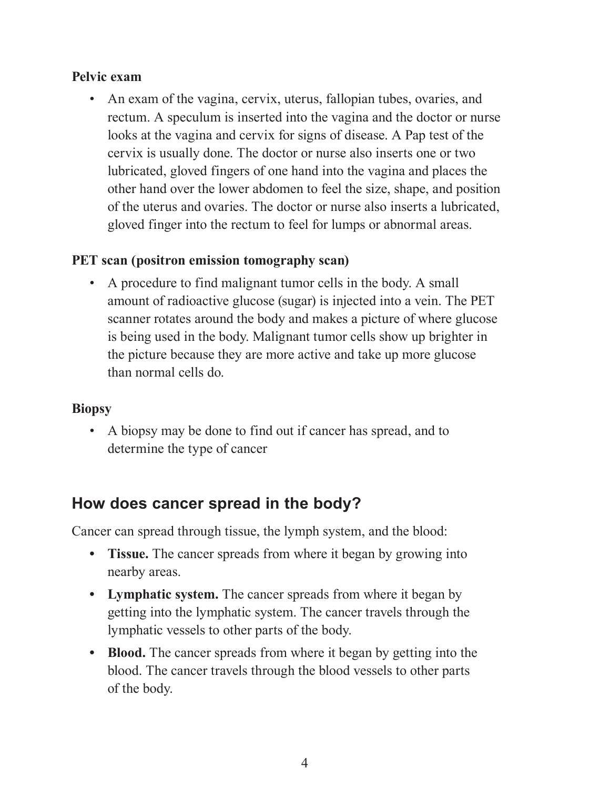#### **Pelvic exam**

• An exam of the vagina, cervix, uterus, fallopian tubes, ovaries, and rectum. A speculum is inserted into the vagina and the doctor or nurse looks at the vagina and cervix for signs of disease. A Pap test of the cervix is usually done. The doctor or nurse also inserts one or two lubricated, gloved fingers of one hand into the vagina and places the other hand over the lower abdomen to feel the size, shape, and position of the uterus and ovaries. The doctor or nurse also inserts a lubricated, gloved finger into the rectum to feel for lumps or abnormal areas.

#### **PET scan (positron emission tomography scan)**

• A procedure to find malignant tumor cells in the body. A small amount of radioactive glucose (sugar) is injected into a vein. The PET scanner rotates around the body and makes a picture of where glucose is being used in the body. Malignant tumor cells show up brighter in the picture because they are more active and take up more glucose than normal cells do.

#### **Biopsy**

• A biopsy may be done to find out if cancer has spread, and to determine the type of cancer

## **How does cancer spread in the body?**

Cancer can spread through tissue, the lymph system, and the blood:

- **Tissue.** The cancer spreads from where it began by growing into nearby areas.
- **• Lymphatic system.** The cancer spreads from where it began by getting into the lymphatic system. The cancer travels through the lymphatic vessels to other parts of the body.
- **• Blood.** The cancer spreads from where it began by getting into the blood. The cancer travels through the blood vessels to other parts of the body.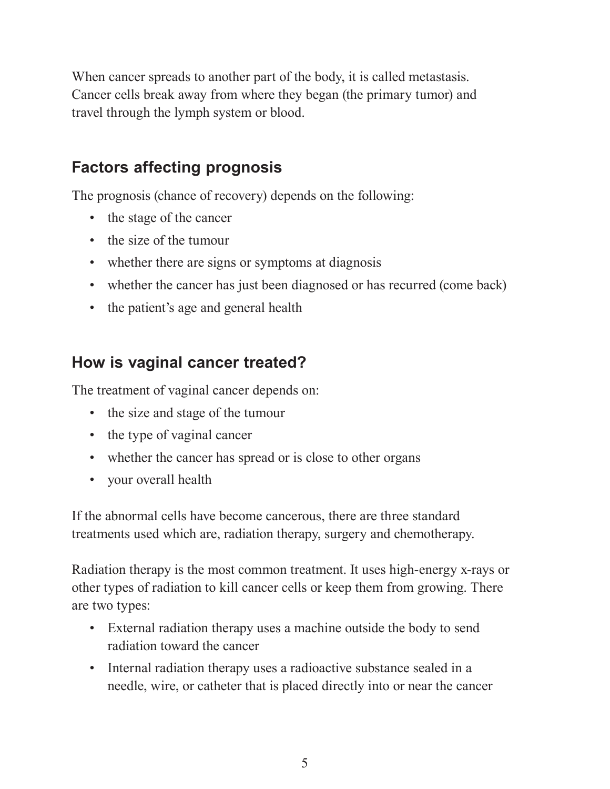When cancer spreads to another part of the body, it is called metastasis. Cancer cells break away from where they began (the primary tumor) and travel through the lymph system or blood.

# **Factors affecting prognosis**

The prognosis (chance of recovery) depends on the following:

- the stage of the cancer
- the size of the tumour
- whether there are signs or symptoms at diagnosis
- whether the cancer has just been diagnosed or has recurred (come back)
- the patient's age and general health

# **How is vaginal cancer treated?**

The treatment of vaginal cancer depends on:

- the size and stage of the tumour
- the type of vaginal cancer
- whether the cancer has spread or is close to other organs
- your overall health

If the abnormal cells have become cancerous, there are three standard treatments used which are, radiation therapy, surgery and chemotherapy.

Radiation therapy is the most common treatment. It uses high-energy x-rays or other types of radiation to kill cancer cells or keep them from growing. There are two types:

- External radiation therapy uses a machine outside the body to send radiation toward the cancer
- Internal radiation therapy uses a radioactive substance sealed in a needle, wire, or catheter that is placed directly into or near the cancer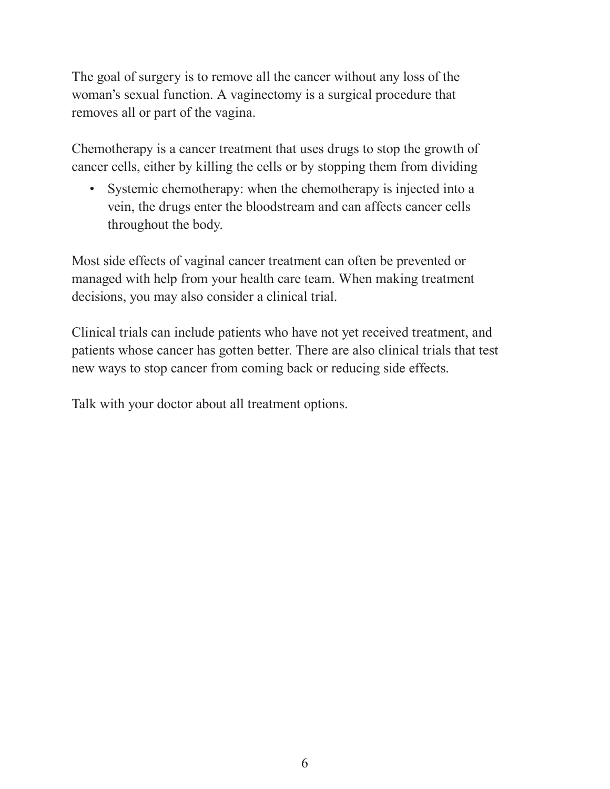The goal of surgery is to remove all the cancer without any loss of the woman's sexual function. A vaginectomy is a surgical procedure that removes all or part of the vagina.

Chemotherapy is a cancer treatment that uses drugs to stop the growth of cancer cells, either by killing the cells or by stopping them from dividing

• Systemic chemotherapy: when the chemotherapy is injected into a vein, the drugs enter the bloodstream and can affects cancer cells throughout the body.

Most side effects of vaginal cancer treatment can often be prevented or managed with help from your health care team. When making treatment decisions, you may also consider a clinical trial.

Clinical trials can include patients who have not yet received treatment, and patients whose cancer has gotten better. There are also clinical trials that test new ways to stop cancer from coming back or reducing side effects.

Talk with your doctor about all treatment options.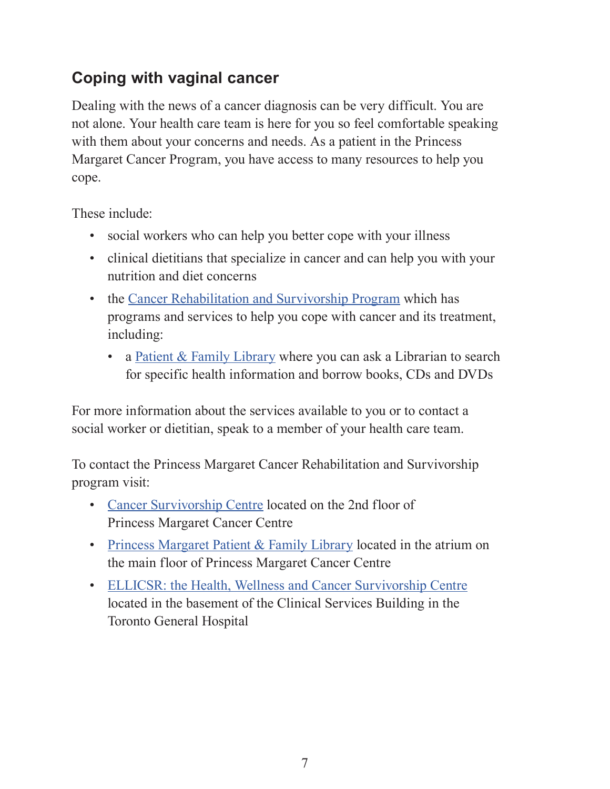# **Coping with vaginal cancer**

Dealing with the news of a cancer diagnosis can be very difficult. You are not alone. Your health care team is here for you so feel comfortable speaking with them about your concerns and needs. As a patient in the Princess Margaret Cancer Program, you have access to many resources to help you cope.

These include:

- social workers who can help you better cope with your illness
- clinical dietitians that specialize in cancer and can help you with your nutrition and diet concerns
- the [Cancer Rehabilitation and Survivorship Program](http://www.uhn.ca/PrincessMargaret/PatientsFamilies/Clinics_Tests/Cancer_Rehab_Survivorship) which has programs and services to help you cope with cancer and its treatment, including:
	- a [Patient & Family Library](http://www.uhn.ca/PrincessMargaret/PatientsFamilies/Specialized_Program_Services/Pages/princess_margaret_patient_family_library.aspx) where you can ask a Librarian to search for specific health information and borrow books, CDs and DVDs

For more information about the services available to you or to contact a social worker or dietitian, speak to a member of your health care team.

To contact the Princess Margaret Cancer Rehabilitation and Survivorship program visit:

- [Cancer Survivorship Centre](http://www.uhn.ca/PrincessMargaret/PatientsFamilies/Clinics_Tests/Cancer_Rehab_Survivorship) located on the 2nd floor of Princess Margaret Cancer Centre
- Princess Margaret [Patient & Family Library](http://www.uhn.ca/PrincessMargaret/PatientsFamilies/Specialized_Program_Services/Pages/princess_margaret_patient_family_library.aspx) located in the atrium on the main floor of Princess Margaret Cancer Centre
- [ELLICSR: the Health, Wellness and Cancer Survivorship Centre](http://www.uhn.ca/PrincessMargaret/PatientsFamilies/Specialized_Program_Services/Pages/ellicsr_health_wellness_cancer_survivorship.aspx) located in the basement of the Clinical Services Building in the Toronto General Hospital